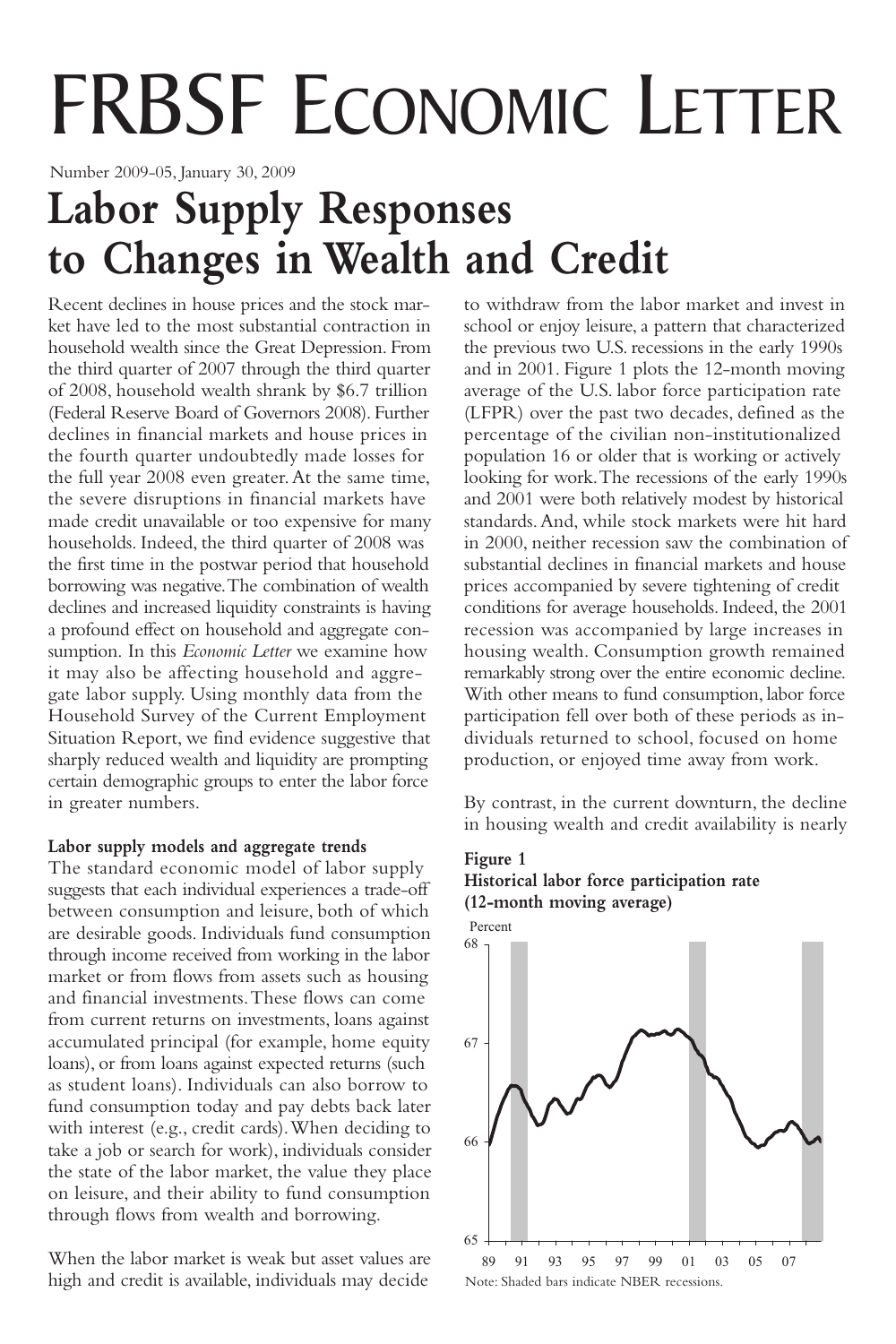# FRBSF ECONOMIC LETTER

Number 2009-05, January 30, 2009

# **Labor Supply Responses to Changes in Wealth and Credit**

Recent declines in house prices and the stock market have led to the most substantial contraction in household wealth since the Great Depression. From the third quarter of 2007 through the third quarter of 2008, household wealth shrank by \$6.7 trillion (Federal Reserve Board of Governors 2008). Further declines in financial markets and house prices in the fourth quarter undoubtedly made losses for the full year 2008 even greater.At the same time, the severe disruptions in financial markets have made credit unavailable or too expensive for many households. Indeed, the third quarter of 2008 was the first time in the postwar period that household borrowing was negative.The combination of wealth declines and increased liquidity constraints is having a profound effect on household and aggregate consumption. In this *Economic Letter* we examine how it may also be affecting household and aggregate labor supply. Using monthly data from the Household Survey of the Current Employment Situation Report, we find evidence suggestive that sharply reduced wealth and liquidity are prompting certain demographic groups to enter the labor force in greater numbers.

# **Labor supply models and aggregate trends**

The standard economic model of labor supply suggests that each individual experiences a trade-off between consumption and leisure, both of which are desirable goods. Individuals fund consumption through income received from working in the labor market or from flows from assets such as housing and financial investments.These flows can come from current returns on investments, loans against accumulated principal (for example, home equity loans), or from loans against expected returns (such as student loans). Individuals can also borrow to fund consumption today and pay debts back later with interest (e.g., credit cards).When deciding to take a job or search for work), individuals consider the state of the labor market, the value they place on leisure, and their ability to fund consumption through flows from wealth and borrowing.

When the labor market is weak but asset values are high and credit is available, individuals may decide

to withdraw from the labor market and invest in school or enjoy leisure, a pattern that characterized the previous two U.S. recessions in the early 1990s and in 2001. Figure 1 plots the 12-month moving average of the U.S. labor force participation rate (LFPR) over the past two decades, defined as the percentage of the civilian non-institutionalized population 16 or older that is working or actively looking for work.The recessions of the early 1990s and 2001 were both relatively modest by historical standards.And, while stock markets were hit hard in 2000, neither recession saw the combination of substantial declines in financial markets and house prices accompanied by severe tightening of credit conditions for average households.Indeed, the 2001 recession was accompanied by large increases in housing wealth. Consumption growth remained remarkably strong over the entire economic decline. With other means to fund consumption, labor force participation fell over both of these periods as individuals returned to school, focused on home production, or enjoyed time away from work.

By contrast, in the current downturn, the decline in housing wealth and credit availability is nearly

# **Figure 1 Historical labor force participation rate (12-month moving average)**

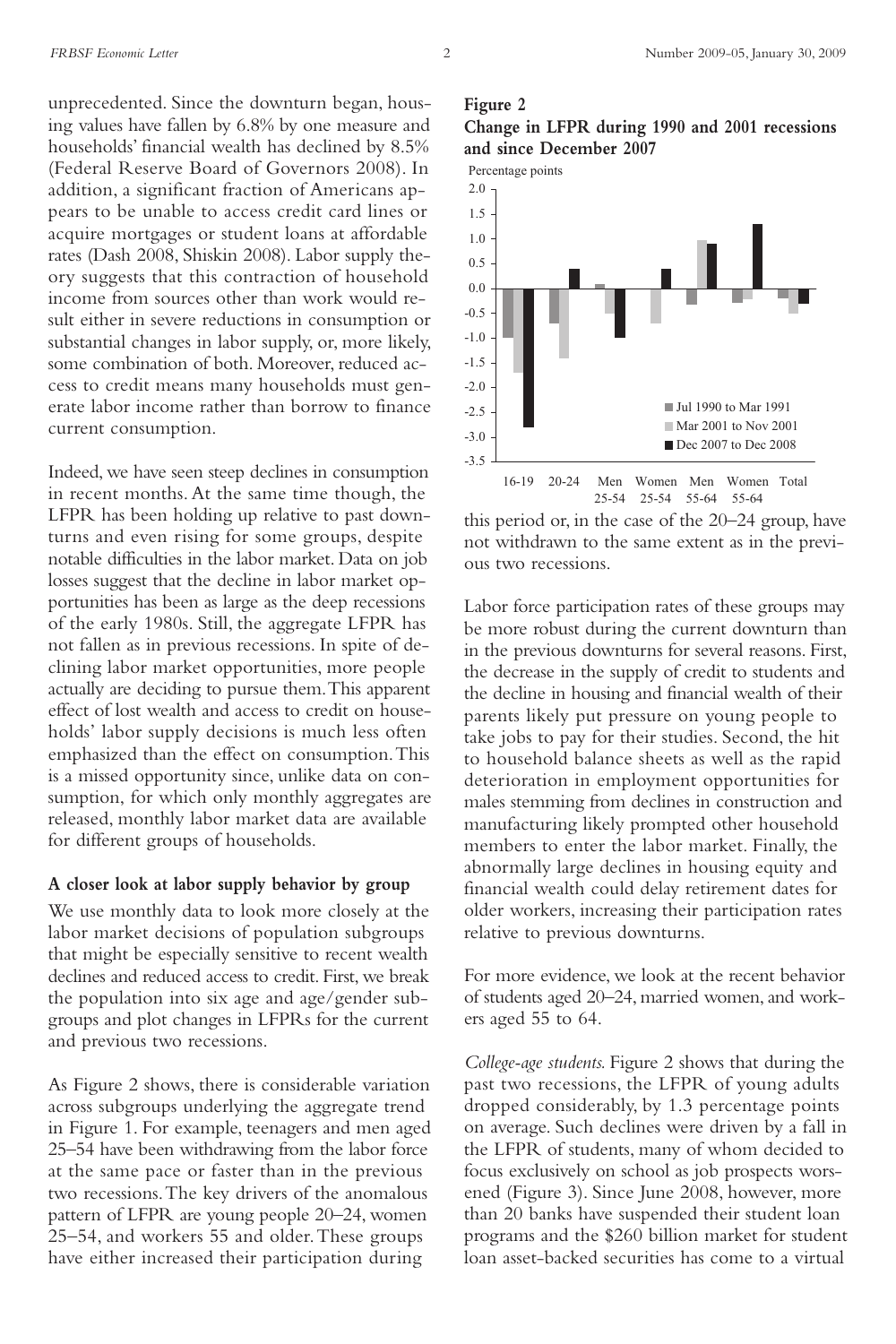unprecedented. Since the downturn began, housing values have fallen by 6.8% by one measure and households' financial wealth has declined by 8.5% (Federal Reserve Board of Governors 2008). In addition, a significant fraction of Americans appears to be unable to access credit card lines or acquire mortgages or student loans at affordable rates (Dash 2008, Shiskin 2008). Labor supply theory suggests that this contraction of household income from sources other than work would result either in severe reductions in consumption or substantial changes in labor supply, or, more likely, some combination of both. Moreover, reduced access to credit means many households must generate labor income rather than borrow to finance current consumption.

Indeed, we have seen steep declines in consumption in recent months.At the same time though, the LFPR has been holding up relative to past downturns and even rising for some groups, despite notable difficulties in the labor market. Data on job losses suggest that the decline in labor market opportunities has been as large as the deep recessions of the early 1980s. Still, the aggregate LFPR has not fallen as in previous recessions. In spite of declining labor market opportunities, more people actually are deciding to pursue them.This apparent effect of lost wealth and access to credit on households' labor supply decisions is much less often emphasized than the effect on consumption.This is a missed opportunity since, unlike data on consumption, for which only monthly aggregates are released, monthly labor market data are available for different groups of households.

## **A closer look at labor supply behavior by group**

We use monthly data to look more closely at the labor market decisions of population subgroups that might be especially sensitive to recent wealth declines and reduced access to credit. First, we break the population into six age and age/gender subgroups and plot changes in LFPRs for the current and previous two recessions.

As Figure 2 shows, there is considerable variation across subgroups underlying the aggregate trend in Figure 1. For example, teenagers and men aged 25–54 have been withdrawing from the labor force at the same pace or faster than in the previous two recessions.The key drivers of the anomalous pattern of LFPR are young people 20–24, women 25–54, and workers 55 and older.These groups have either increased their participation during

# **Figure 2**





this period or, in the case of the 20–24 group, have not withdrawn to the same extent as in the previous two recessions. 25-54 25-54 55-64 55-64

Labor force participation rates of these groups may be more robust during the current downturn than in the previous downturns for several reasons. First, the decrease in the supply of credit to students and the decline in housing and financial wealth of their parents likely put pressure on young people to take jobs to pay for their studies. Second, the hit to household balance sheets as well as the rapid deterioration in employment opportunities for males stemming from declines in construction and manufacturing likely prompted other household members to enter the labor market. Finally, the abnormally large declines in housing equity and financial wealth could delay retirement dates for older workers, increasing their participation rates relative to previous downturns.

For more evidence, we look at the recent behavior of students aged 20–24, married women, and workers aged 55 to 64.

*College-age students.* Figure 2 shows that during the past two recessions, the LFPR of young adults dropped considerably, by 1.3 percentage points on average. Such declines were driven by a fall in the LFPR of students, many of whom decided to focus exclusively on school as job prospects worsened (Figure 3). Since June 2008, however, more than 20 banks have suspended their student loan programs and the \$260 billion market for student loan asset-backed securities has come to a virtual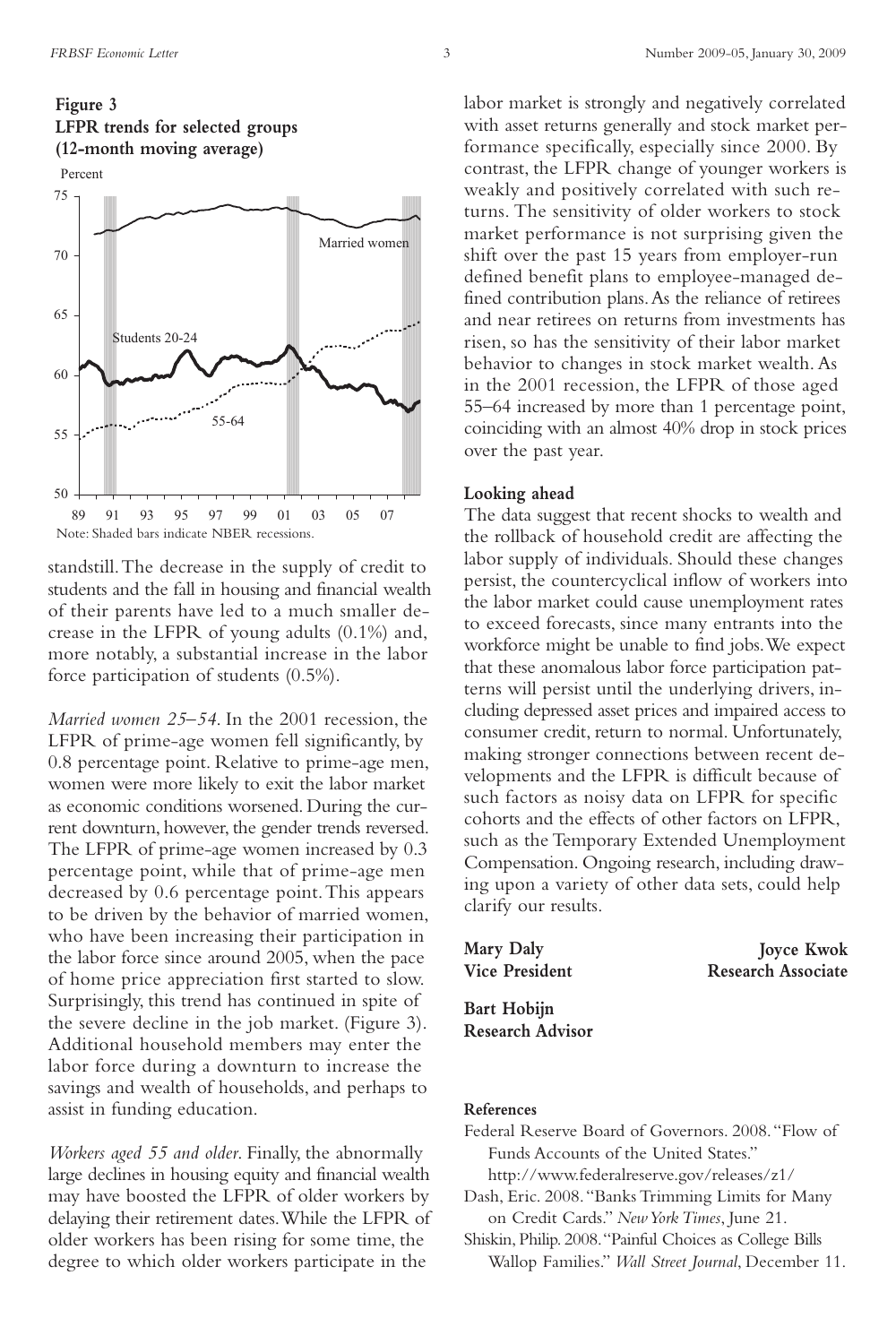

standstill.The decrease in the supply of credit to students and the fall in housing and financial wealth of their parents have led to a much smaller decrease in the LFPR of young adults (0.1%) and, more notably, a substantial increase in the labor force participation of students (0.5%).

*Married women 25–54*. In the 2001 recession, the LFPR of prime-age women fell significantly, by 0.8 percentage point. Relative to prime-age men, women were more likely to exit the labor market as economic conditions worsened. During the current downturn, however, the gender trends reversed. The LFPR of prime-age women increased by 0.3 percentage point, while that of prime-age men decreased by 0.6 percentage point.This appears to be driven by the behavior of married women, who have been increasing their participation in the labor force since around 2005, when the pace of home price appreciation first started to slow. Surprisingly, this trend has continued in spite of the severe decline in the job market. (Figure 3). Additional household members may enter the labor force during a downturn to increase the savings and wealth of households, and perhaps to assist in funding education.

*Workers aged 55 and older*. Finally, the abnormally large declines in housing equity and financial wealth may have boosted the LFPR of older workers by delaying their retirement dates.While the LFPR of older workers has been rising for some time, the degree to which older workers participate in the

labor market is strongly and negatively correlated with asset returns generally and stock market performance specifically, especially since 2000. By contrast, the LFPR change of younger workers is weakly and positively correlated with such returns. The sensitivity of older workers to stock market performance is not surprising given the shift over the past 15 years from employer-run defined benefit plans to employee-managed defined contribution plans.As the reliance of retirees and near retirees on returns from investments has risen, so has the sensitivity of their labor market behavior to changes in stock market wealth.As in the 2001 recession, the LFPR of those aged 55–64 increased by more than 1 percentage point, coinciding with an almost 40% drop in stock prices over the past year.

#### **Looking ahead**

The data suggest that recent shocks to wealth and the rollback of household credit are affecting the labor supply of individuals. Should these changes persist, the countercyclical inflow of workers into the labor market could cause unemployment rates to exceed forecasts, since many entrants into the workforce might be unable to find jobs.We expect that these anomalous labor force participation patterns will persist until the underlying drivers, including depressed asset prices and impaired access to consumer credit, return to normal. Unfortunately, making stronger connections between recent developments and the LFPR is difficult because of such factors as noisy data on LFPR for specific cohorts and the effects of other factors on LFPR, such as the Temporary Extended Unemployment Compensation. Ongoing research, including drawing upon a variety of other data sets, could help clarify our results.

**Mary Daly Vice President Joyce Kwok Research Associate Bart Hobijn**

#### **References**

**Research Advisor**

- Federal Reserve Board of Governors. 2008."Flow of Funds Accounts of the United States."
- http://www.federalreserve.gov/releases/z1/ Dash, Eric. 2008."Banks Trimming Limits for Many on Credit Cards." *NewYorkTimes*, June 21.
- Shiskin, Philip. 2008."Painful Choices as College Bills
	- Wallop Families." *Wall Street Journal*, December 11.